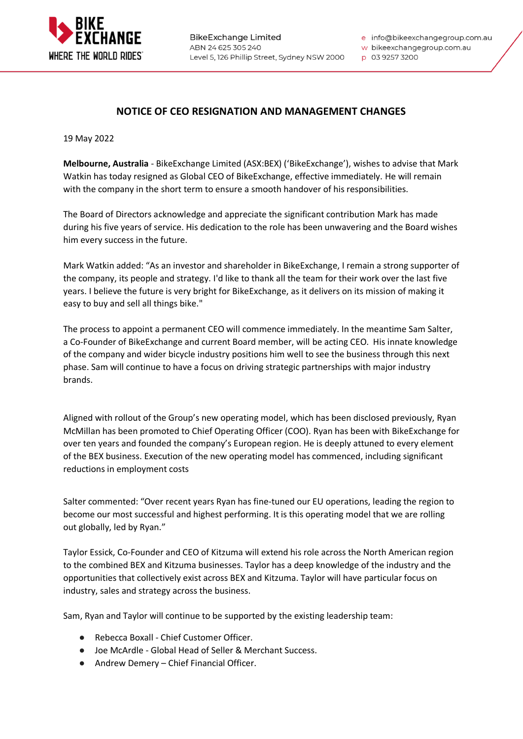

**BikeExchange Limited** ABN 24 625 305 240 Level 5, 126 Phillip Street, Sydney NSW 2000 e info@bikeexchangegroup.com.au

w bikeexchangegroup.com.au

p 03 9257 3200

## **NOTICE OF CEO RESIGNATION AND MANAGEMENT CHANGES**

19 May 2022

**Melbourne, Australia** - BikeExchange Limited (ASX:BEX) ('BikeExchange'), wishes to advise that Mark Watkin has today resigned as Global CEO of BikeExchange, effective immediately. He will remain with the company in the short term to ensure a smooth handover of his responsibilities.

The Board of Directors acknowledge and appreciate the significant contribution Mark has made during his five years of service. His dedication to the role has been unwavering and the Board wishes him every success in the future.

Mark Watkin added: "As an investor and shareholder in BikeExchange, I remain a strong supporter of the company, its people and strategy. I'd like to thank all the team for their work over the last five years. I believe the future is very bright for BikeExchange, as it delivers on its mission of making it easy to buy and sell all things bike."

The process to appoint a permanent CEO will commence immediately. In the meantime Sam Salter, a Co-Founder of BikeExchange and current Board member, will be acting CEO. His innate knowledge of the company and wider bicycle industry positions him well to see the business through this next phase. Sam will continue to have a focus on driving strategic partnerships with major industry brands.

Aligned with rollout of the Group's new operating model, which has been disclosed previously, Ryan McMillan has been promoted to Chief Operating Officer (COO). Ryan has been with BikeExchange for over ten years and founded the company's European region. He is deeply attuned to every element of the BEX business. Execution of the new operating model has commenced, including significant reductions in employment costs

Salter commented: "Over recent years Ryan has fine-tuned our EU operations, leading the region to become our most successful and highest performing. It is this operating model that we are rolling out globally, led by Ryan."

Taylor Essick, Co-Founder and CEO of Kitzuma will extend his role across the North American region to the combined BEX and Kitzuma businesses. Taylor has a deep knowledge of the industry and the opportunities that collectively exist across BEX and Kitzuma. Taylor will have particular focus on industry, sales and strategy across the business.

Sam, Ryan and Taylor will continue to be supported by the existing leadership team:

- Rebecca Boxall Chief Customer Officer.
- Joe McArdle Global Head of Seller & Merchant Success.
- Andrew Demery Chief Financial Officer.